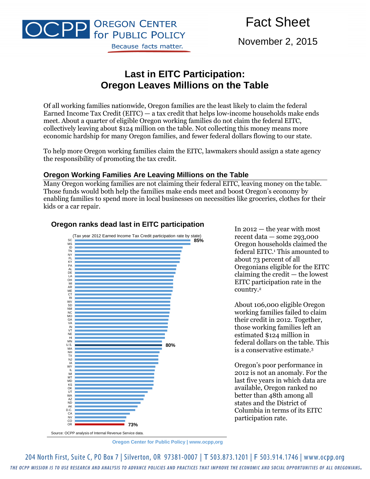

Fact Sheet

November 2, 2015

# **Last in EITC Participation: Oregon Leaves Millions on the Table**

Of all working families nationwide, Oregon families are the least likely to claim the federal Earned Income Tax Credit (EITC)  $-$  a tax credit that helps low-income households make ends meet. About a quarter of eligible Oregon working families do not claim the federal EITC, collectively leaving about \$124 million on the table. Not collecting this money means more economic hardship for many Oregon families, and fewer federal dollars flowing to our state.

To help more Oregon working families claim the EITC, lawmakers should assign a state agency the responsibility of promoting the tax credit.

#### **Oregon Working Families Are Leaving Millions on the Table**

Many Oregon working families are not claiming their federal EITC, leaving money on the table. Those funds would both help the families make ends meet and boost Oregon's economy by enabling families to spend more in local businesses on necessities like groceries, clothes for their kids or a car repair.



#### **Oregon ranks dead last in EITC participation**

In 2012 — the year with most recent data — some 293,000 Oregon households claimed the federal EITC.<sup>1</sup> This amounted to about 73 percent of all Oregonians eligible for the EITC claiming the credit — the lowest EITC participation rate in the country. 2

About 106,000 eligible Oregon working families failed to claim their credit in 2012. Together, those working families left an estimated \$124 million in federal dollars on the table. This is a conservative estimate.<sup>3</sup>

Oregon's poor performance in 2012 is not an anomaly. For the last five years in which data are available, Oregon ranked no better than 48th among all states and the District of Columbia in terms of its EITC participation rate.

**Oregon Center for Public Policy | www.ocpp,org**

204 North First, Suite C, PO Box 7 | Silverton, OR 97381-0007 | T 503.873.1201 | F 503.914.1746 | www.ocpp.org THE OCPP MISSION IS TO USE RESEARCH AND ANALYSIS TO ADVANCE POLICIES AND PRACTICES THAT IMPROVE THE ECONOMIC AND SOCIAL OPPORTUNITIES OF ALL OREGONIANS.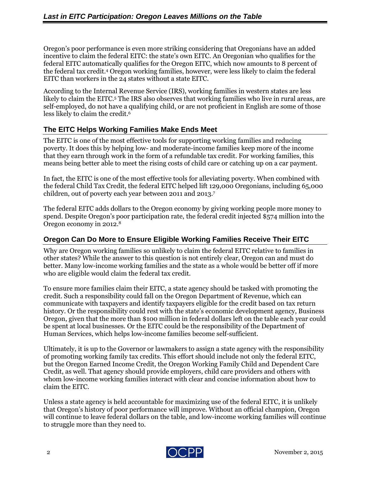Oregon's poor performance is even more striking considering that Oregonians have an added incentive to claim the federal EITC: the state's own EITC. An Oregonian who qualifies for the federal EITC automatically qualifies for the Oregon EITC, which now amounts to 8 percent of the federal tax credit.<sup>4</sup> Oregon working families, however, were less likely to claim the federal EITC than workers in the 24 states without a state EITC.

According to the Internal Revenue Service (IRS), working families in western states are less likely to claim the EITC. <sup>5</sup> The IRS also observes that working families who live in rural areas, are self-employed, do not have a qualifying child, or are not proficient in English are some of those less likely to claim the credit.<sup>6</sup>

## **The EITC Helps Working Families Make Ends Meet**

The EITC is one of the most effective tools for supporting working families and reducing poverty. It does this by helping low- and moderate-income families keep more of the income that they earn through work in the form of a refundable tax credit. For working families, this means being better able to meet the rising costs of child care or catching up on a car payment.

In fact, the EITC is one of the most effective tools for alleviating poverty. When combined with the federal Child Tax Credit, the federal EITC helped lift 129,000 Oregonians, including 65,000 children, out of poverty each year between 2011 and 2013. 7

The federal EITC adds dollars to the Oregon economy by giving working people more money to spend. Despite Oregon's poor participation rate, the federal credit injected \$574 million into the Oregon economy in 2012.<sup>8</sup>

# **Oregon Can Do More to Ensure Eligible Working Families Receive Their EITC**

Why are Oregon working families so unlikely to claim the federal EITC relative to families in other states? While the answer to this question is not entirely clear, Oregon can and must do better. Many low-income working families and the state as a whole would be better off if more who are eligible would claim the federal tax credit.

To ensure more families claim their EITC, a state agency should be tasked with promoting the credit. Such a responsibility could fall on the Oregon Department of Revenue, which can communicate with taxpayers and identify taxpayers eligible for the credit based on tax return history. Or the responsibility could rest with the state's economic development agency, Business Oregon, given that the more than \$100 million in federal dollars left on the table each year could be spent at local businesses. Or the EITC could be the responsibility of the Department of Human Services, which helps low-income families become self-sufficient.

Ultimately, it is up to the Governor or lawmakers to assign a state agency with the responsibility of promoting working family tax credits. This effort should include not only the federal EITC, but the Oregon Earned Income Credit, the Oregon Working Family Child and Dependent Care Credit, as well. That agency should provide employers, child care providers and others with whom low-income working families interact with clear and concise information about how to claim the EITC.

Unless a state agency is held accountable for maximizing use of the federal EITC, it is unlikely that Oregon's history of poor performance will improve. Without an official champion, Oregon will continue to leave federal dollars on the table, and low-income working families will continue to struggle more than they need to.

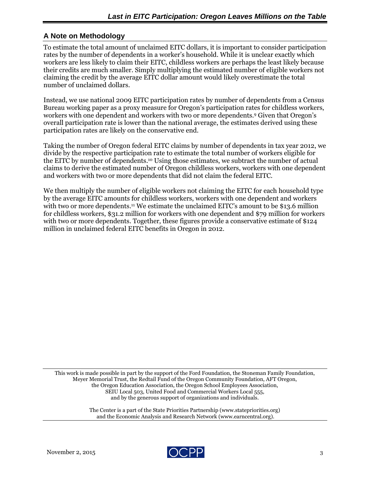## **A Note on Methodology**

To estimate the total amount of unclaimed EITC dollars, it is important to consider participation rates by the number of dependents in a worker's household. While it is unclear exactly which workers are less likely to claim their EITC, childless workers are perhaps the least likely because their credits are much smaller. Simply multiplying the estimated number of eligible workers not claiming the credit by the average EITC dollar amount would likely overestimate the total number of unclaimed dollars.

Instead, we use national 2009 EITC participation rates by number of dependents from a Census Bureau working paper as a proxy measure for Oregon's participation rates for childless workers, workers with one dependent and workers with two or more dependents.<sup>9</sup> Given that Oregon's overall participation rate is lower than the national average, the estimates derived using these participation rates are likely on the conservative end.

Taking the number of Oregon federal EITC claims by number of dependents in tax year 2012, we divide by the respective participation rate to estimate the total number of workers eligible for the EITC by number of dependents.<sup>10</sup> Using those estimates, we subtract the number of actual claims to derive the estimated number of Oregon childless workers, workers with one dependent and workers with two or more dependents that did not claim the federal EITC.

We then multiply the number of eligible workers not claiming the EITC for each household type by the average EITC amounts for childless workers, workers with one dependent and workers with two or more dependents.<sup>11</sup> We estimate the unclaimed EITC's amount to be \$13.6 million for childless workers, \$31.2 million for workers with one dependent and \$79 million for workers with two or more dependents. Together, these figures provide a conservative estimate of \$124 million in unclaimed federal EITC benefits in Oregon in 2012.

This work is made possible in part by the support of the Ford Foundation, the Stoneman Family Foundation, Meyer Memorial Trust, the Redtail Fund of the Oregon Community Foundation, AFT Oregon, the Oregon Education Association, the Oregon School Employees Association, SEIU Local 503, United Food and Commercial Workers Local 555, and by the generous support of organizations and individuals.

> The Center is a part of the State Priorities Partnership (www.statepriorities.org) and the Economic Analysis and Research Network (www.earncentral.org).